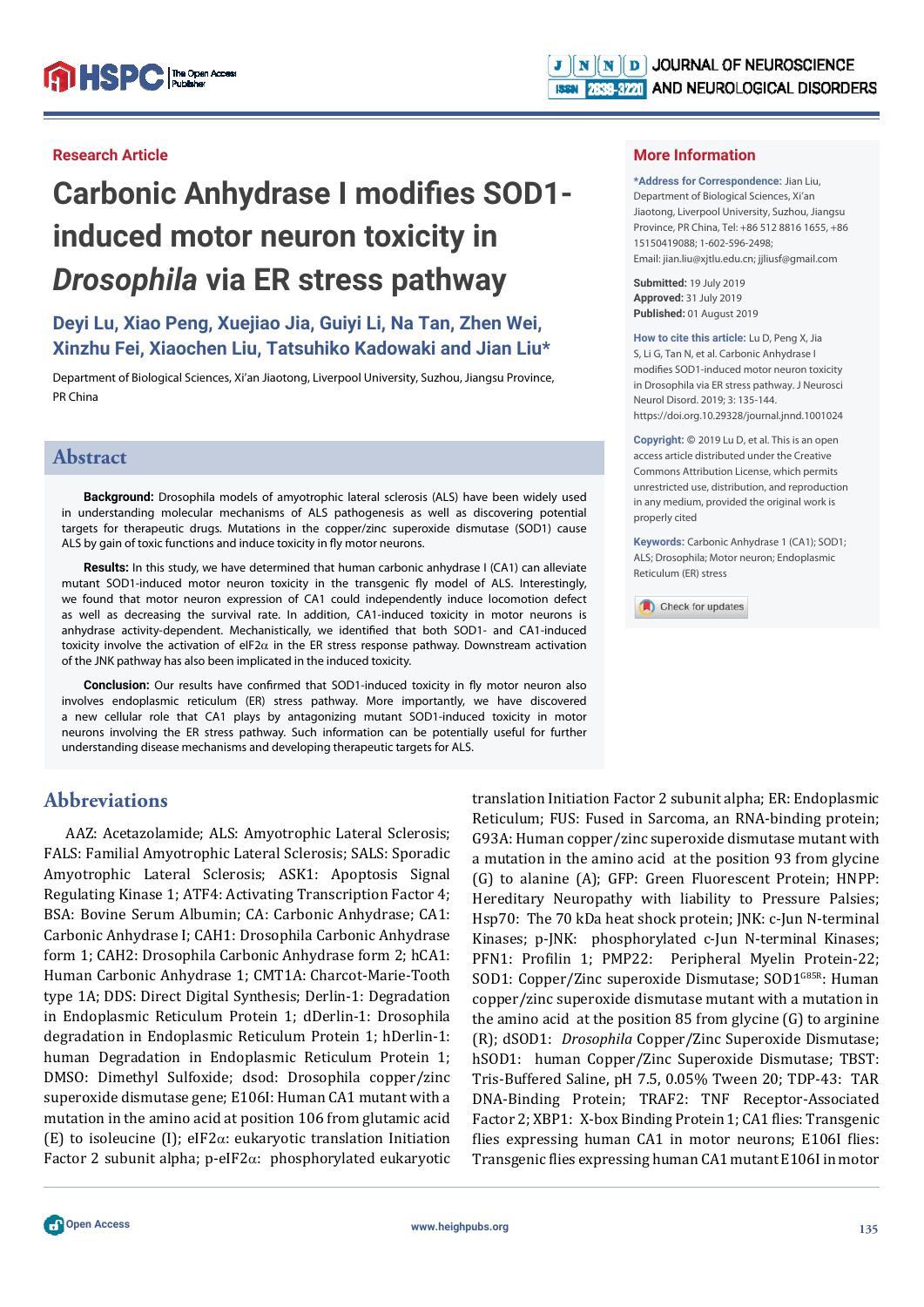#### **Research Article**

# **Carbonic Anhydrase I modifies SOD1induced motor neuron toxicity in**  *Drosophila* **via ER stress pathway**

# **Deyi Lu, Xiao Peng, Xuejiao Jia, Guiyi Li, Na Tan, Zhen Wei, Xinzhu Fei, Xiaochen Liu, Tatsuhiko Kadowaki and Jian Liu\***

Department of Biological Sciences, Xi'an Jiaotong, Liverpool University, Suzhou, Jiangsu Province, PR China

## **Abstract**

**Background:** Drosophila models of amyotrophic lateral sclerosis (ALS) have been widely used in understanding molecular mechanisms of ALS pathogenesis as well as discovering potential targets for therapeutic drugs. Mutations in the copper/zinc superoxide dismutase (SOD1) cause ALS by gain of toxic functions and induce toxicity in fly motor neurons.

**Results:** In this study, we have determined that human carbonic anhydrase I (CA1) can alleviate mutant SOD1-induced motor neuron toxicity in the transgenic fly model of ALS. Interestingly, we found that motor neuron expression of CA1 could independently induce locomotion defect as well as decreasing the survival rate. In addition, CA1-induced toxicity in motor neurons is anhydrase activity-dependent. Mechanistically, we identified that both SOD1- and CA1-induced toxicity involve the activation of eIF2 $\alpha$  in the ER stress response pathway. Downstream activation of the JNK pathway has also been implicated in the induced toxicity.

**Conclusion:** Our results have confirmed that SOD1-induced toxicity in fly motor neuron also involves endoplasmic reticulum (ER) stress pathway. More importantly, we have discovered a new cellular role that CA1 plays by antagonizing mutant SOD1-induced toxicity in motor neurons involving the ER stress pathway. Such information can be potentially useful for further understanding disease mechanisms and developing therapeutic targets for ALS.

# **Abbreviations**

AAZ: Acetazolamide; ALS: Amyotrophic Lateral Sclerosis; FALS: Familial Amyotrophic Lateral Sclerosis; SALS: Sporadic Amyotrophic Lateral Sclerosis; ASK1: Apoptosis Signal Regulating Kinase 1; ATF4: Activating Transcription Factor 4; BSA: Bovine Serum Albumin; CA: Carbonic Anhydrase; CA1: Carbonic Anhydrase I; CAH1: Drosophila Carbonic Anhydrase form 1; CAH2: Drosophila Carbonic Anhydrase form 2; hCA1: Human Carbonic Anhydrase 1; CMT1A: Charcot-Marie-Tooth type 1A; DDS: Direct Digital Synthesis; Derlin-1: Degradation in Endoplasmic Reticulum Protein 1; dDerlin-1: Drosophila degradation in Endoplasmic Reticulum Protein 1; hDerlin-1: human Degradation in Endoplasmic Reticulum Protein 1; DMSO: Dimethyl Sulfoxide; dsod: Drosophila copper/zinc superoxide dismutase gene; E106I: Human CA1 mutant with a mutation in the amino acid at position 106 from glutamic acid (E) to isoleucine (I); eIF2 $\alpha$ : eukaryotic translation Initiation Factor 2 subunit alpha; p-eIF2 $\alpha$ : phosphorylated eukaryotic translation Initiation Factor 2 subunit alpha; ER: Endoplasmic Reticulum; FUS: Fused in Sarcoma, an RNA-binding protein; G93A: Human copper/zinc superoxide dismutase mutant with a mutation in the amino acid at the position 93 from glycine (G) to alanine (A); GFP: Green Fluorescent Protein; HNPP: Hereditary Neuropathy with liability to Pressure Palsies; Hsp70: The 70 kDa heat shock protein; JNK: c-Jun N-terminal Kinases; p-JNK: phosphorylated c-Jun N-terminal Kinases; PFN1: Profilin 1; PMP22: Peripheral Myelin Protein-22; SOD1: Copper/Zinc superoxide Dismutase; SOD1<sup>G85R</sup>: Human copper/zinc superoxide dismutase mutant with a mutation in the amino acid at the position 85 from glycine (G) to arginine (R); dSOD1: *Drosophila* Copper/Zinc Superoxide Dismutase; hSOD1: human Copper/Zinc Superoxide Dismutase; TBST: Tris-Buffered Saline, pH 7.5, 0.05% Tween 20; TDP-43: TAR DNA-Binding Protein; TRAF2: TNF Receptor-Associated Factor 2; XBP1: X-box Binding Protein 1; CA1 flies: Transgenic flies expressing human CA1 in motor neurons; E106I flies: Transgenic flies expressing human CA1 mutant E106I in motor

**\*Address for Correspondence:** Jian Liu, Department of Biological Sciences, Xi'an Jiaotong, Liverpool University, Suzhou, Jiangsu Province, PR China, Tel: +86 512 8816 1655, +86 15150419088; 1-602-596-2498; Email: jian.liu@xjtlu.edu.cn; jjliusf@gmail.com

**Submitted:** 19 July 2019 **Approved:** 31 July 2019 **Published:** 01 August 2019

**How to cite this article:** Lu D, Peng X, Jia S, Li G, Tan N, et al. Carbonic Anhydrase I modifies SOD1-induced motor neuron toxicity in Drosophila via ER stress pathway. J Neurosci Neurol Disord. 2019; 3: 135-144. https://doi.org.10.29328/journal.jnnd.1001024

**Copyright: ©** 2019 Lu D, et al. This is an open access article distributed under the Creative Commons Attribution License, which permits unrestricted use, distribution, and reproduction in any medium, provided the original work is properly cited

**Keywords:** Carbonic Anhydrase 1 (CA1); SOD1; ALS; Drosophila; Motor neuron; Endoplasmic Reticulum (ER) stress

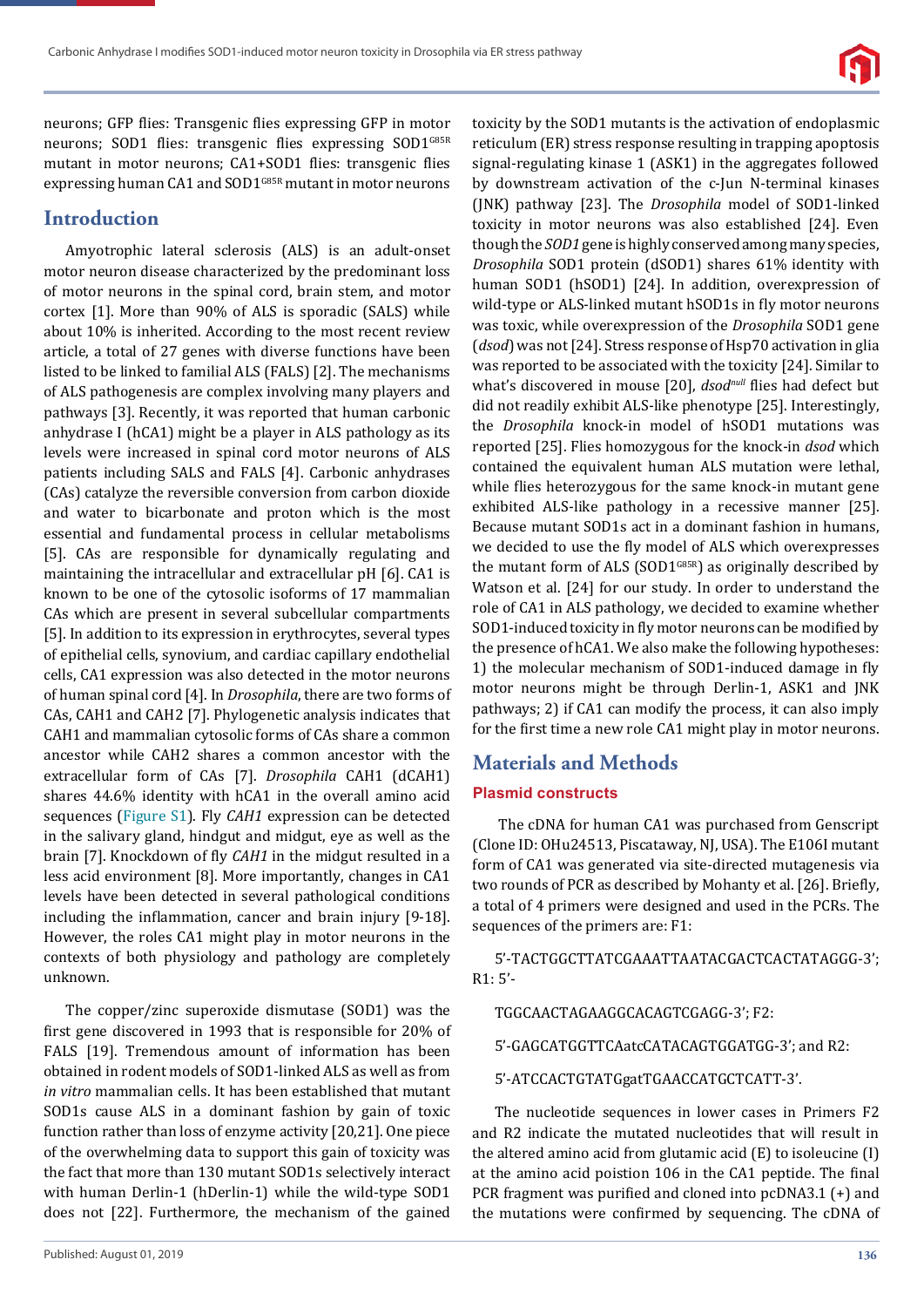

neurons; GFP flies: Transgenic flies expressing GFP in motor neurons; SOD1 flies: transgenic flies expressing SOD1<sup>G85R</sup> mutant in motor neurons; CA1+SOD1 flies: transgenic flies expressing human CA1 and SOD1<sup>G85R</sup> mutant in motor neurons

## **Introduction**

Amyotrophic lateral sclerosis (ALS) is an adult-onset motor neuron disease characterized by the predominant loss of motor neurons in the spinal cord, brain stem, and motor cortex [1]. More than 90% of ALS is sporadic (SALS) while about 10% is inherited. According to the most recent review article, a total of 27 genes with diverse functions have been listed to be linked to familial ALS (FALS) [2]. The mechanisms of ALS pathogenesis are complex involving many players and pathways [3]. Recently, it was reported that human carbonic anhydrase I (hCA1) might be a player in ALS pathology as its levels were increased in spinal cord motor neurons of ALS patients including SALS and FALS [4]. Carbonic anhydrases (CAs) catalyze the reversible conversion from carbon dioxide and water to bicarbonate and proton which is the most essential and fundamental process in cellular metabolisms [5]. CAs are responsible for dynamically regulating and maintaining the intracellular and extracellular pH [6]. CA1 is known to be one of the cytosolic isoforms of 17 mammalian CAs which are present in several subcellular compartments [5]. In addition to its expression in erythrocytes, several types of epithelial cells, synovium, and cardiac capillary endothelial cells, CA1 expression was also detected in the motor neurons of human spinal cord [4]. In *Drosophila*, there are two forms of CAs, CAH1 and CAH2 [7]. Phylogenetic analysis indicates that CAH1 and mammalian cytosolic forms of CAs share a common ancestor while CAH2 shares a common ancestor with the extracellular form of CAs [7]. *Drosophila* CAH1 (dCAH1) shares 44.6% identity with hCA1 in the overall amino acid sequences (Figure S1). Fly *CAH1* expression can be detected in the salivary gland, hindgut and midgut, eye as well as the brain [7]. Knockdown of fly *CAH1* in the midgut resulted in a less acid environment [8]. More importantly, changes in CA1 levels have been detected in several pathological conditions including the inflammation, cancer and brain injury [9-18]. However, the roles CA1 might play in motor neurons in the contexts of both physiology and pathology are completely unknown.

The copper/zinc superoxide dismutase (SOD1) was the first gene discovered in 1993 that is responsible for 20% of FALS [19]. Tremendous amount of information has been obtained in rodent models of SOD1-linked ALS as well as from *in vitro* mammalian cells. It has been established that mutant SOD1s cause ALS in a dominant fashion by gain of toxic function rather than loss of enzyme activity [20,21]. One piece of the overwhelming data to support this gain of toxicity was the fact that more than 130 mutant SOD1s selectively interact with human Derlin-1 (hDerlin-1) while the wild-type SOD1 does not [22]. Furthermore, the mechanism of the gained toxicity by the SOD1 mutants is the activation of endoplasmic reticulum (ER) stress response resulting in trapping apoptosis signal-regulating kinase 1 (ASK1) in the aggregates followed by downstream activation of the c-Jun N-terminal kinases (JNK) pathway [23]. The *Drosophila* model of SOD1-linked toxicity in motor neurons was also established [24]. Even though the *SOD1* gene is highly conserved among many species, *Drosophila* SOD1 protein (dSOD1) shares 61% identity with human SOD1 (hSOD1) [24]. In addition, overexpression of wild-type or ALS-linked mutant hSOD1s in fly motor neurons was toxic, while overexpression of the *Drosophila* SOD1 gene (*dsod*) was not [24]. Stress response of Hsp70 activation in glia was reported to be associated with the toxicity [24]. Similar to what's discovered in mouse [20], *dsod<sup>null</sup>* flies had defect but did not readily exhibit ALS-like phenotype [25]. Interestingly, the *Drosophila* knock-in model of hSOD1 mutations was reported [25]. Flies homozygous for the knock-in *dsod* which contained the equivalent human ALS mutation were lethal, while flies heterozygous for the same knock-in mutant gene exhibited ALS-like pathology in a recessive manner [25]. Because mutant SOD1s act in a dominant fashion in humans, we decided to use the fly model of ALS which overexpresses the mutant form of ALS (SOD1 $GBSR$ ) as originally described by Watson et al. [24] for our study. In order to understand the role of CA1 in ALS pathology, we decided to examine whether SOD1-induced toxicity in fly motor neurons can be modified by the presence of hCA1. We also make the following hypotheses: 1) the molecular mechanism of SOD1-induced damage in fly motor neurons might be through Derlin-1, ASK1 and JNK pathways; 2) if CA1 can modify the process, it can also imply for the first time a new role CA1 might play in motor neurons.

# **Materials and Methods**

#### **Plasmid constructs**

The cDNA for human CA1 was purchased from Genscript (Clone ID: OHu24513, Piscataway, NJ, USA). The E106I mutant form of CA1 was generated via site-directed mutagenesis via two rounds of PCR as described by Mohanty et al. [26]. Briefly, a total of 4 primers were designed and used in the PCRs. The sequences of the primers are: F1:

5'-TACTGGCTTATCGAAATTAATACGACTCACTATAGGG-3'; R1: 5'-

TGGCAACTAGAAGGCACAGTCGAGG-3'; F2:

5'-GAGCATGGTTCAatcCATACAGTGGATGG-3'; and R2:

5'-ATCCACTGTATGgatTGAACCATGCTCATT-3'.

The nucleotide sequences in lower cases in Primers F2 and R2 indicate the mutated nucleotides that will result in the altered amino acid from glutamic acid (E) to isoleucine (I) at the amino acid poistion 106 in the CA1 peptide. The final PCR fragment was purified and cloned into pcDNA3.1 (+) and the mutations were confirmed by sequencing. The cDNA of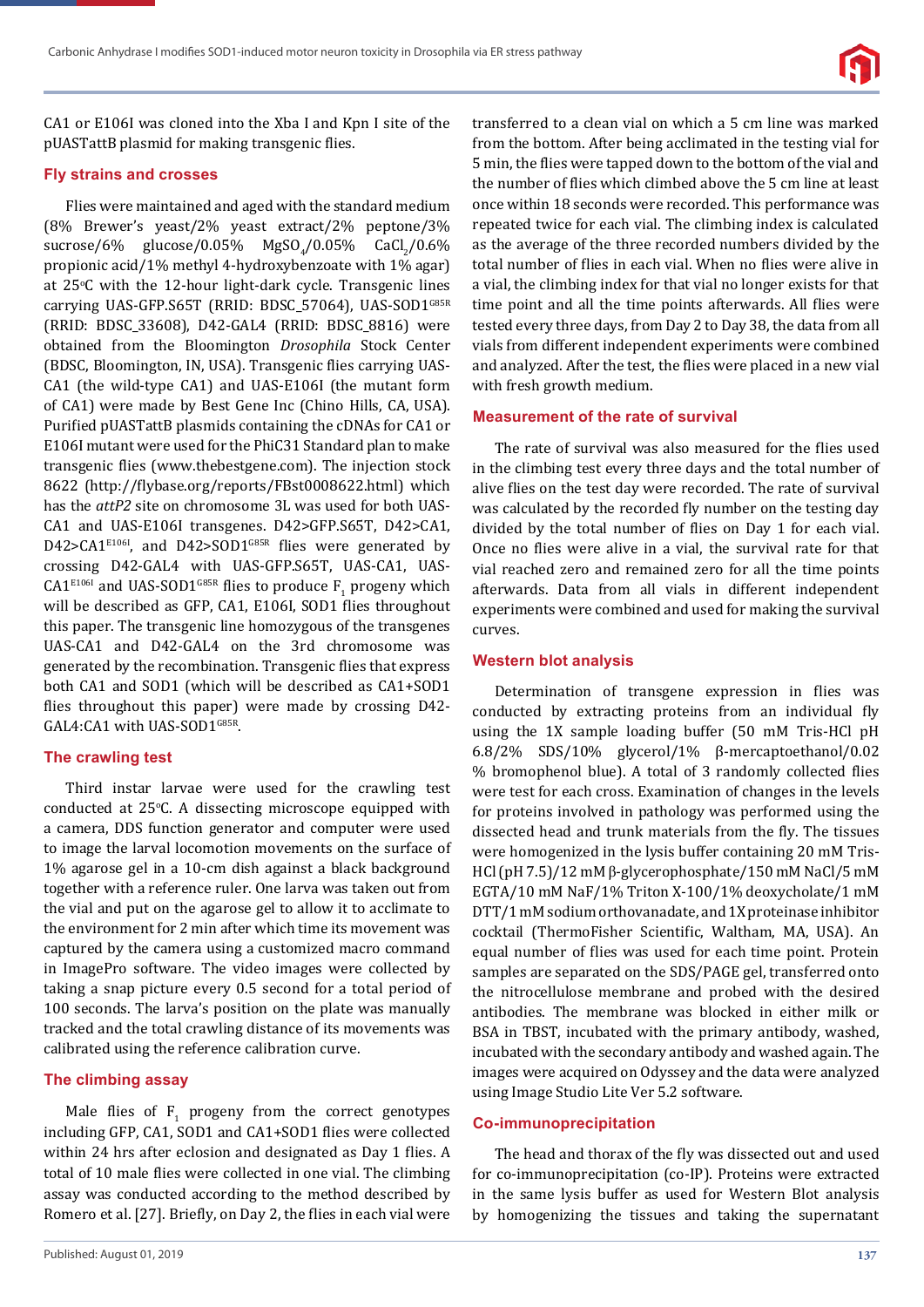

CA1 or E106I was cloned into the Xba I and Kpn I site of the pUASTattB plasmid for making transgenic flies.

#### **Fly strains and crosses**

Flies were maintained and aged with the standard medium (8% Brewer's yeast/2% yeast extract/2% peptone/3%  $\text{success/6\%} \quad \text{glucose/0.05\%} \quad \text{MgSO}_4/0.05\% \quad \text{CaCl}_2/0.6\%$ propionic acid/1% methyl 4-hydroxybenzoate with 1% agar) at 25°C with the 12-hour light-dark cycle. Transgenic lines carrying UAS-GFP.S65T (RRID: BDSC\_57064), UAS-SOD1G85R (RRID: BDSC\_33608), D42-GAL4 (RRID: BDSC\_8816) were obtained from the Bloomington *Drosophila* Stock Center (BDSC, Bloomington, IN, USA). Transgenic flies carrying UAS-CA1 (the wild-type CA1) and UAS-E106I (the mutant form of CA1) were made by Best Gene Inc (Chino Hills, CA, USA). Purified pUASTattB plasmids containing the cDNAs for CA1 or E106I mutant were used for the PhiC31 Standard plan to make transgenic flies (www.thebestgene.com). The injection stock 8622 (http://ϐlybase.org/reports/FBst0008622.html) which has the *attP2* site on chromosome 3L was used for both UAS-CA1 and UAS-E106I transgenes. D42>GFP.S65T, D42>CA1, D42>CA1<sup>E106I</sup>, and D42>SOD1<sup>G85R</sup> flies were generated by crossing D42-GAL4 with UAS-GFP.S65T, UAS-CA1, UAS- $\text{CA1}^{\text{E1061}}$  and UAS-SOD1<sup>G85R</sup> flies to produce  $\text{F}_1$  progeny which will be described as GFP, CA1, E106I, SOD1 flies throughout this paper. The transgenic line homozygous of the transgenes UAS-CA1 and D42-GAL4 on the 3rd chromosome was generated by the recombination. Transgenic flies that express both CA1 and SOD1 (which will be described as CA1+SOD1 flies throughout this paper) were made by crossing D42-GAL4:CA1 with UAS-SOD1G85R.

#### **The crawling test**

Third instar larvae were used for the crawling test conducted at 25°C. A dissecting microscope equipped with a camera, DDS function generator and computer were used to image the larval locomotion movements on the surface of 1% agarose gel in a 10-cm dish against a black background together with a reference ruler. One larva was taken out from the vial and put on the agarose gel to allow it to acclimate to the environment for 2 min after which time its movement was captured by the camera using a customized macro command in ImagePro software. The video images were collected by taking a snap picture every 0.5 second for a total period of 100 seconds. The larva's position on the plate was manually tracked and the total crawling distance of its movements was calibrated using the reference calibration curve.

#### **The climbing assay**

Male flies of  $F_1$  progeny from the correct genotypes including GFP, CA1, SOD1 and CA1+SOD1 flies were collected within 24 hrs after eclosion and designated as Day 1 flies. A total of 10 male flies were collected in one vial. The climbing assay was conducted according to the method described by Romero et al. [27]. Briefly, on Day 2, the flies in each vial were

transferred to a clean vial on which a 5 cm line was marked from the bottom. After being acclimated in the testing vial for 5 min, the flies were tapped down to the bottom of the vial and the number of flies which climbed above the 5 cm line at least once within 18 seconds were recorded. This performance was repeated twice for each vial. The climbing index is calculated as the average of the three recorded numbers divided by the total number of flies in each vial. When no flies were alive in a vial, the climbing index for that vial no longer exists for that time point and all the time points afterwards. All flies were tested every three days, from Day 2 to Day 38, the data from all vials from different independent experiments were combined and analyzed. After the test, the flies were placed in a new vial with fresh growth medium.

#### **Measurement of the rate of survival**

The rate of survival was also measured for the flies used in the climbing test every three days and the total number of alive flies on the test day were recorded. The rate of survival was calculated by the recorded fly number on the testing day divided by the total number of flies on Day 1 for each vial. Once no flies were alive in a vial, the survival rate for that vial reached zero and remained zero for all the time points afterwards. Data from all vials in different independent experiments were combined and used for making the survival curves.

#### **Western blot analysis**

Determination of transgene expression in flies was conducted by extracting proteins from an individual fly using the 1X sample loading buffer (50 mM Tris-HCl pH 6.8/2% SDS/10% glycerol/1% β-mercaptoethanol/0.02 % bromophenol blue). A total of 3 randomly collected flies were test for each cross. Examination of changes in the levels for proteins involved in pathology was performed using the dissected head and trunk materials from the fly. The tissues were homogenized in the lysis buffer containing 20 mM Tris-HCl (pH 7.5)/12 mM β-glycerophosphate/150 mM NaCl/5 mM EGTA/10 mM NaF/1% Triton X-100/1% deoxycholate/1 mM DTT/1 mM sodium orthovanadate, and 1X proteinase inhibitor cocktail (ThermoFisher Scientific, Waltham, MA, USA). An equal number of flies was used for each time point. Protein samples are separated on the SDS/PAGE gel, transferred onto the nitrocellulose membrane and probed with the desired antibodies. The membrane was blocked in either milk or BSA in TBST, incubated with the primary antibody, washed, incubated with the secondary antibody and washed again. The images were acquired on Odyssey and the data were analyzed using Image Studio Lite Ver 5.2 software.

#### **Co-immunoprecipitation**

The head and thorax of the fly was dissected out and used for co-immunoprecipitation (co-IP). Proteins were extracted in the same lysis buffer as used for Western Blot analysis by homogenizing the tissues and taking the supernatant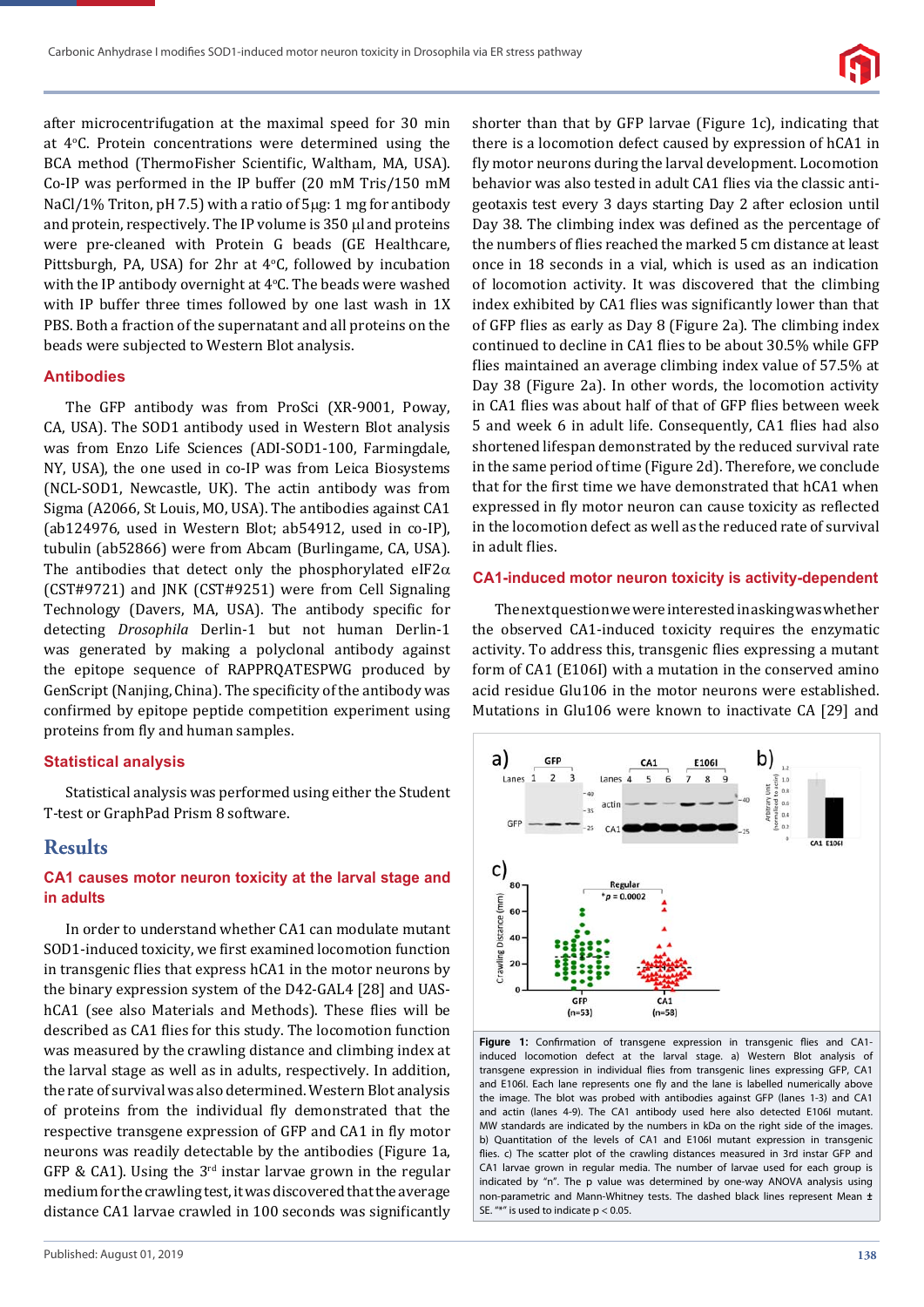

after microcentrifugation at the maximal speed for 30 min at 4°C. Protein concentrations were determined using the BCA method (ThermoFisher Scientific, Waltham, MA, USA). Co-IP was performed in the IP buffer (20 mM Tris/150 mM NaCl/1% Triton, pH 7.5) with a ratio of  $5\mu$ g: 1 mg for antibody and protein, respectively. The IP volume is  $350 \mu$  and proteins were pre-cleaned with Protein G beads (GE Healthcare, Pittsburgh, PA, USA) for  $2hr$  at  $4°C$ , followed by incubation with the IP antibody overnight at  $4^{\circ}$ C. The beads were washed with IP buffer three times followed by one last wash in 1X PBS. Both a fraction of the supernatant and all proteins on the beads were subjected to Western Blot analysis.

#### **Antibodies**

The GFP antibody was from ProSci (XR-9001, Poway, CA, USA). The SOD1 antibody used in Western Blot analysis was from Enzo Life Sciences (ADI-SOD1-100, Farmingdale, NY, USA), the one used in co-IP was from Leica Biosystems (NCL-SOD1, Newcastle, UK). The actin antibody was from Sigma (A2066, St Louis, MO, USA). The antibodies against CA1 (ab124976, used in Western Blot; ab54912, used in co-IP), tubulin (ab52866) were from Abcam (Burlingame, CA, USA). The antibodies that detect only the phosphorylated eIF2 $\alpha$ (CST#9721) and JNK (CST#9251) were from Cell Signaling Technology (Davers, MA, USA). The antibody specific for detecting *Drosophila* Derlin-1 but not human Derlin-1 was generated by making a polyclonal antibody against the epitope sequence of RAPPRQATESPWG produced by GenScript (Nanjing, China). The specificity of the antibody was confirmed by epitope peptide competition experiment using proteins from fly and human samples.

#### **Statistical analysis**

Statistical analysis was performed using either the Student T-test or GraphPad Prism 8 software.

# **Results**

#### **CA1 causes motor neuron toxicity at the larval stage and in adults**

In order to understand whether CA1 can modulate mutant SOD1-induced toxicity, we first examined locomotion function in transgenic flies that express hCA1 in the motor neurons by the binary expression system of the D42-GAL4 [28] and UAShCA1 (see also Materials and Methods). These flies will be described as CA1 flies for this study. The locomotion function was measured by the crawling distance and climbing index at the larval stage as well as in adults, respectively. In addition, the rate of survival was also determined. Western Blot analysis of proteins from the individual fly demonstrated that the respective transgene expression of GFP and CA1 in fly motor neurons was readily detectable by the antibodies (Figure 1a, GFP & CA1). Using the  $3<sup>rd</sup>$  instar larvae grown in the regular medium for the crawling test, it was discovered that the average distance CA1 larvae crawled in 100 seconds was significantly

shorter than that by GFP larvae (Figure 1c), indicating that there is a locomotion defect caused by expression of hCA1 in fly motor neurons during the larval development. Locomotion behavior was also tested in adult CA1 flies via the classic antigeotaxis test every 3 days starting Day 2 after eclosion until Day 38. The climbing index was defined as the percentage of the numbers of flies reached the marked 5 cm distance at least once in 18 seconds in a vial, which is used as an indication of locomotion activity. It was discovered that the climbing index exhibited by CA1 flies was significantly lower than that of GFP flies as early as Day 8 (Figure 2a). The climbing index continued to decline in CA1 flies to be about 30.5% while GFP flies maintained an average climbing index value of 57.5% at Day 38 (Figure 2a). In other words, the locomotion activity in CA1 flies was about half of that of GFP flies between week 5 and week 6 in adult life. Consequently, CA1 ϐlies had also shortened lifespan demonstrated by the reduced survival rate in the same period of time (Figure 2d). Therefore, we conclude that for the first time we have demonstrated that hCA1 when expressed in fly motor neuron can cause toxicity as reflected in the locomotion defect as well as the reduced rate of survival in adult flies.

#### **CA1-induced motor neuron toxicity is activity-dependent**

The next question we were interested in asking was whether the observed CA1-induced toxicity requires the enzymatic activity. To address this, transgenic flies expressing a mutant form of CA1 (E106I) with a mutation in the conserved amino acid residue Glu106 in the motor neurons were established. Mutations in Glu106 were known to inactivate CA [29] and



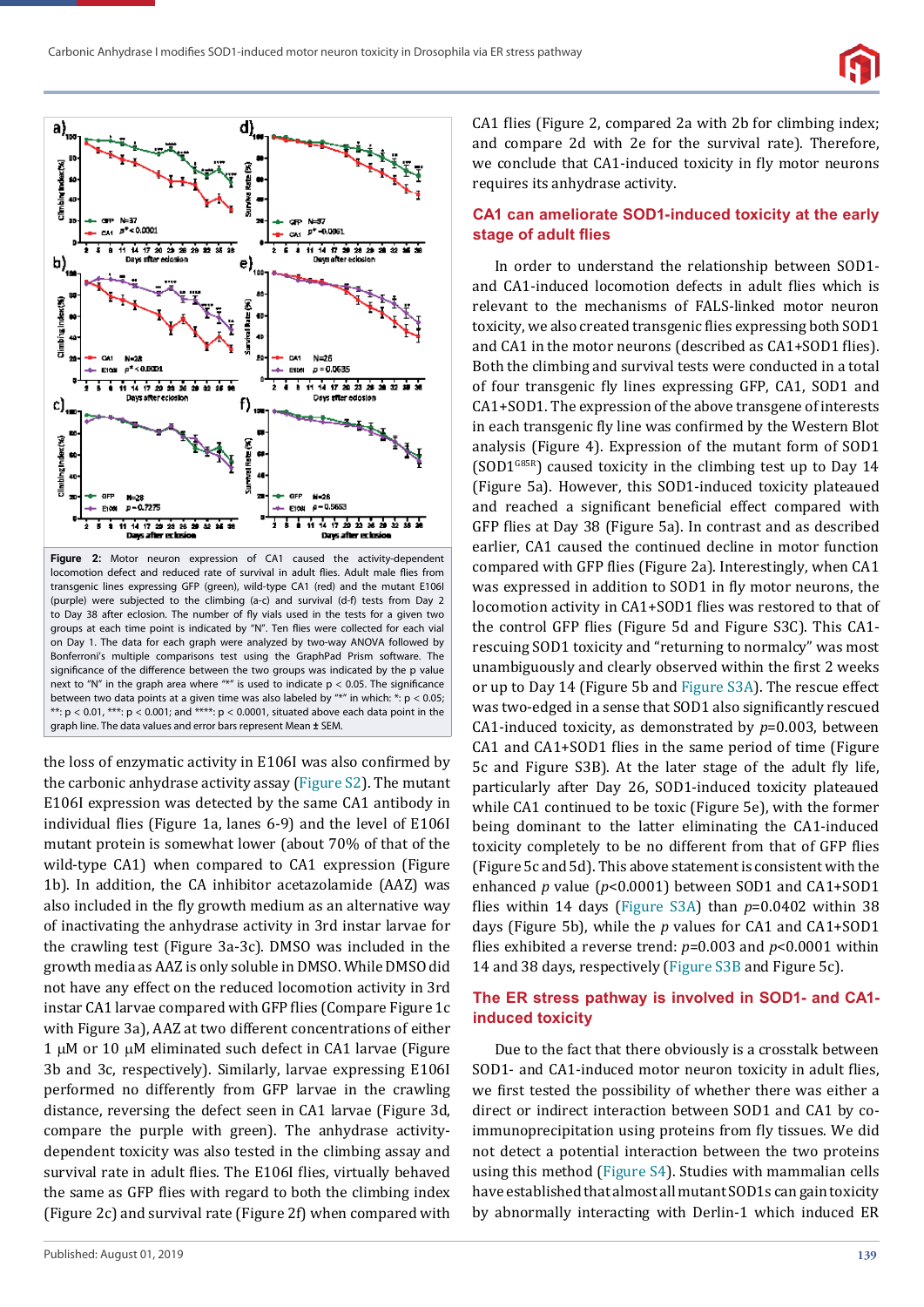



**Figure 2:** Motor neuron expression of CA1 caused the activity-dependent locomotion defect and reduced rate of survival in adult flies. Adult male flies from transgenic lines expressing GFP (green), wild-type CA1 (red) and the mutant E106I (purple) were subjected to the climbing (a-c) and survival (d-f) tests from Day 2 to Day 38 after eclosion. The number of fly vials used in the tests for a given two groups at each time point is indicated by "N". Ten flies were collected for each vial on Day 1. The data for each graph were analyzed by two-way ANOVA followed by Bonferroni's multiple comparisons test using the GraphPad Prism software. The significance of the difference between the two groups was indicated by the p value next to "N" in the graph area where "\*" is used to indicate  $p < 0.05$ . The significance between two data points at a given time was also labeled by "\*" in which:  $*$ :  $p < 0.05$ ; \*\*:  $p < 0.01$ , \*\*\*:  $p < 0.001$ ; and \*\*\*\*:  $p < 0.0001$ , situated above each data point in the graph line. The data values and error bars represent Mean  $\pm$  SEM.

the loss of enzymatic activity in E106I was also confirmed by the carbonic anhydrase activity assay (Figure S2). The mutant E106I expression was detected by the same CA1 antibody in individual flies (Figure 1a, lanes 6-9) and the level of E106I mutant protein is somewhat lower (about 70% of that of the wild-type CA1) when compared to CA1 expression (Figure 1b). In addition, the CA inhibitor acetazolamide (AAZ) was also included in the fly growth medium as an alternative way of inactivating the anhydrase activity in 3rd instar larvae for the crawling test (Figure 3a-3c). DMSO was included in the growth media as AAZ is only soluble in DMSO. While DMSO did not have any effect on the reduced locomotion activity in 3rd instar CA1 larvae compared with GFP flies (Compare Figure 1c with Figure 3a), AAZ at two different concentrations of either  $1 \mu$ M or  $10 \mu$ M eliminated such defect in CA1 larvae (Figure 3b and 3c, respectively). Similarly, larvae expressing E106I performed no differently from GFP larvae in the crawling distance, reversing the defect seen in CA1 larvae (Figure 3d, compare the purple with green). The anhydrase activitydependent toxicity was also tested in the climbing assay and survival rate in adult flies. The E106I flies, virtually behaved the same as GFP flies with regard to both the climbing index (Figure 2c) and survival rate (Figure 2f) when compared with CA1 flies (Figure 2, compared 2a with 2b for climbing index; and compare 2d with 2e for the survival rate). Therefore, we conclude that CA1-induced toxicity in fly motor neurons requires its anhydrase activity.

#### **CA1 can ameliorate SOD1-induced toxicity at the early stage of adult flies**

In order to understand the relationship between SOD1 and CA1-induced locomotion defects in adult flies which is relevant to the mechanisms of FALS-linked motor neuron toxicity, we also created transgenic flies expressing both SOD1 and CA1 in the motor neurons (described as CA1+SOD1 flies). Both the climbing and survival tests were conducted in a total of four transgenic fly lines expressing GFP, CA1, SOD1 and CA1+SOD1. The expression of the above transgene of interests in each transgenic fly line was confirmed by the Western Blot analysis (Figure 4). Expression of the mutant form of SOD1  $(SOD1<sup>G85R</sup>)$  caused toxicity in the climbing test up to Day 14 (Figure 5a). However, this SOD1-induced toxicity plateaued and reached a significant beneficial effect compared with GFP flies at Day 38 (Figure 5a). In contrast and as described earlier, CA1 caused the continued decline in motor function compared with GFP flies (Figure 2a). Interestingly, when CA1 was expressed in addition to SOD1 in fly motor neurons, the locomotion activity in CA1+SOD1 flies was restored to that of the control GFP flies (Figure 5d and Figure S3C). This CA1rescuing SOD1 toxicity and "returning to normalcy" was most unambiguously and clearly observed within the first 2 weeks or up to Day 14 (Figure 5b and Figure S3A). The rescue effect was two-edged in a sense that SOD1 also significantly rescued CA1-induced toxicity, as demonstrated by *p*=0.003, between CA1 and CA1+SOD1 flies in the same period of time (Figure 5c and Figure S3B). At the later stage of the adult fly life, particularly after Day 26, SOD1-induced toxicity plateaued while CA1 continued to be toxic (Figure 5e), with the former being dominant to the latter eliminating the CA1-induced toxicity completely to be no different from that of GFP flies (Figure 5c and 5d). This above statement is consistent with the enhanced *p* value (*p*<0.0001) between SOD1 and CA1+SOD1 flies within 14 days (Figure S3A) than  $p=0.0402$  within 38 days (Figure 5b), while the *p* values for CA1 and CA1+SOD1 flies exhibited a reverse trend:  $p=0.003$  and  $p<0.0001$  within 14 and 38 days, respectively (Figure S3B and Figure 5c).

#### **The ER stress pathway is involved in SOD1- and CA1 induced toxicity**

Due to the fact that there obviously is a crosstalk between SOD1- and CA1-induced motor neuron toxicity in adult flies, we first tested the possibility of whether there was either a direct or indirect interaction between SOD1 and CA1 by coimmunoprecipitation using proteins from fly tissues. We did not detect a potential interaction between the two proteins using this method (Figure S4). Studies with mammalian cells have established that almost all mutant SOD1s can gain toxicity by abnormally interacting with Derlin-1 which induced ER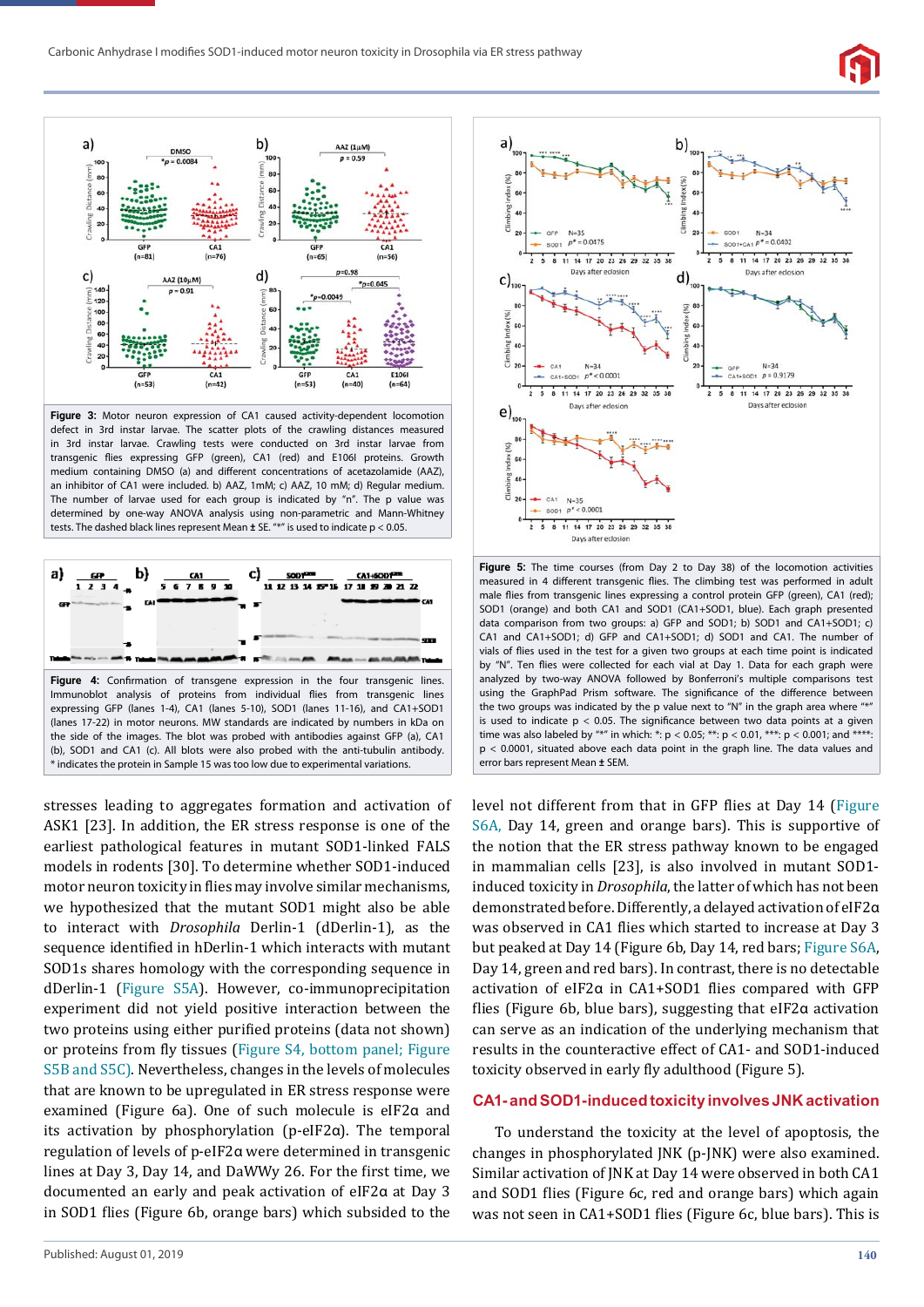



**Figure 3:** Motor neuron expression of CA1 caused activity-dependent locomotion defect in 3rd instar larvae. The scatter plots of the crawling distances measured in 3rd instar larvae. Crawling tests were conducted on 3rd instar larvae from transgenic flies expressing GFP (green), CA1 (red) and E106I proteins. Growth medium containing DMSO (a) and different concentrations of acetazolamide (AAZ), an inhibitor of CA1 were included. b) AAZ, 1mM; c) AAZ, 10 mM; d) Regular medium. The number of larvae used for each group is indicated by "n". The p value was determined by one-way ANOVA analysis using non-parametric and Mann-Whitney tests. The dashed black lines represent Mean  $\pm$  SE. "\*" is used to indicate p < 0.05.



stresses leading to aggregates formation and activation of ASK1 [23]. In addition, the ER stress response is one of the earliest pathological features in mutant SOD1-linked FALS models in rodents [30]. To determine whether SOD1-induced motor neuron toxicity in flies may involve similar mechanisms, we hypothesized that the mutant SOD1 might also be able to interact with *Drosophila* Derlin-1 (dDerlin-1), as the sequence identified in hDerlin-1 which interacts with mutant SOD1s shares homology with the corresponding sequence in dDerlin-1 (Figure S5A). However, co-immunoprecipitation experiment did not yield positive interaction between the two proteins using either purified proteins (data not shown) or proteins from fly tissues (Figure S4, bottom panel; Figure S5B and S5C). Nevertheless, changes in the levels of molecules that are known to be upregulated in ER stress response were examined (Figure 6a). One of such molecule is eIF2α and its activation by phosphorylation (p-eIF2α). The temporal regulation of levels of p-eIF2α were determined in transgenic lines at Day 3, Day 14, and DaWWy 26. For the first time, we documented an early and peak activation of eIF2α at Day 3 in SOD1 flies (Figure 6b, orange bars) which subsided to the



**Figure 5:** The time courses (from Day 2 to Day 38) of the locomotion activities measured in 4 different transgenic flies. The climbing test was performed in adult male flies from transgenic lines expressing a control protein GFP (green), CA1 (red); SOD1 (orange) and both CA1 and SOD1 (CA1+SOD1, blue). Each graph presented data comparison from two groups: a) GFP and SOD1; b) SOD1 and CA1+SOD1; c) CA1 and CA1+SOD1; d) GFP and CA1+SOD1; d) SOD1 and CA1. The number of vials of flies used in the test for a given two groups at each time point is indicated by "N". Ten flies were collected for each vial at Day 1. Data for each graph were analyzed by two-way ANOVA followed by Bonferroni's multiple comparisons test using the GraphPad Prism software. The significance of the difference between the two groups was indicated by the p value next to "N" in the graph area where is used to indicate  $p < 0.05$ . The significance between two data points at a given time was also labeled by "\*" in which: \*:  $p < 0.05$ ; \*\*:  $p < 0.01$ , \*\*\*:  $p < 0.001$ ; and \*\*\*\*: p < 0.0001, situated above each data point in the graph line. The data values and error bars represent Mean ± SEM.

level not different from that in GFP flies at Day 14 (Figure S6A, Day 14, green and orange bars). This is supportive of the notion that the ER stress pathway known to be engaged in mammalian cells [23], is also involved in mutant SOD1 induced toxicity in *Drosophila*, the latter of which has not been demonstrated before. Differently, a delayed activation of eIF2α was observed in CA1 flies which started to increase at Day 3 but peaked at Day 14 (Figure 6b, Day 14, red bars; Figure S6A, Day 14, green and red bars). In contrast, there is no detectable activation of eIF2α in CA1+SOD1 ϐlies compared with GFP flies (Figure 6b, blue bars), suggesting that eIF2α activation can serve as an indication of the underlying mechanism that results in the counteractive effect of CA1- and SOD1-induced toxicity observed in early fly adulthood (Figure 5).

#### **CA1- and SOD1-induced toxicity involves JNK activation**

To understand the toxicity at the level of apoptosis, the changes in phosphorylated JNK (p-JNK) were also examined. Similar activation of JNK at Day 14 were observed in both CA1 and SOD1 flies (Figure 6c, red and orange bars) which again was not seen in CA1+SOD1 flies (Figure 6c, blue bars). This is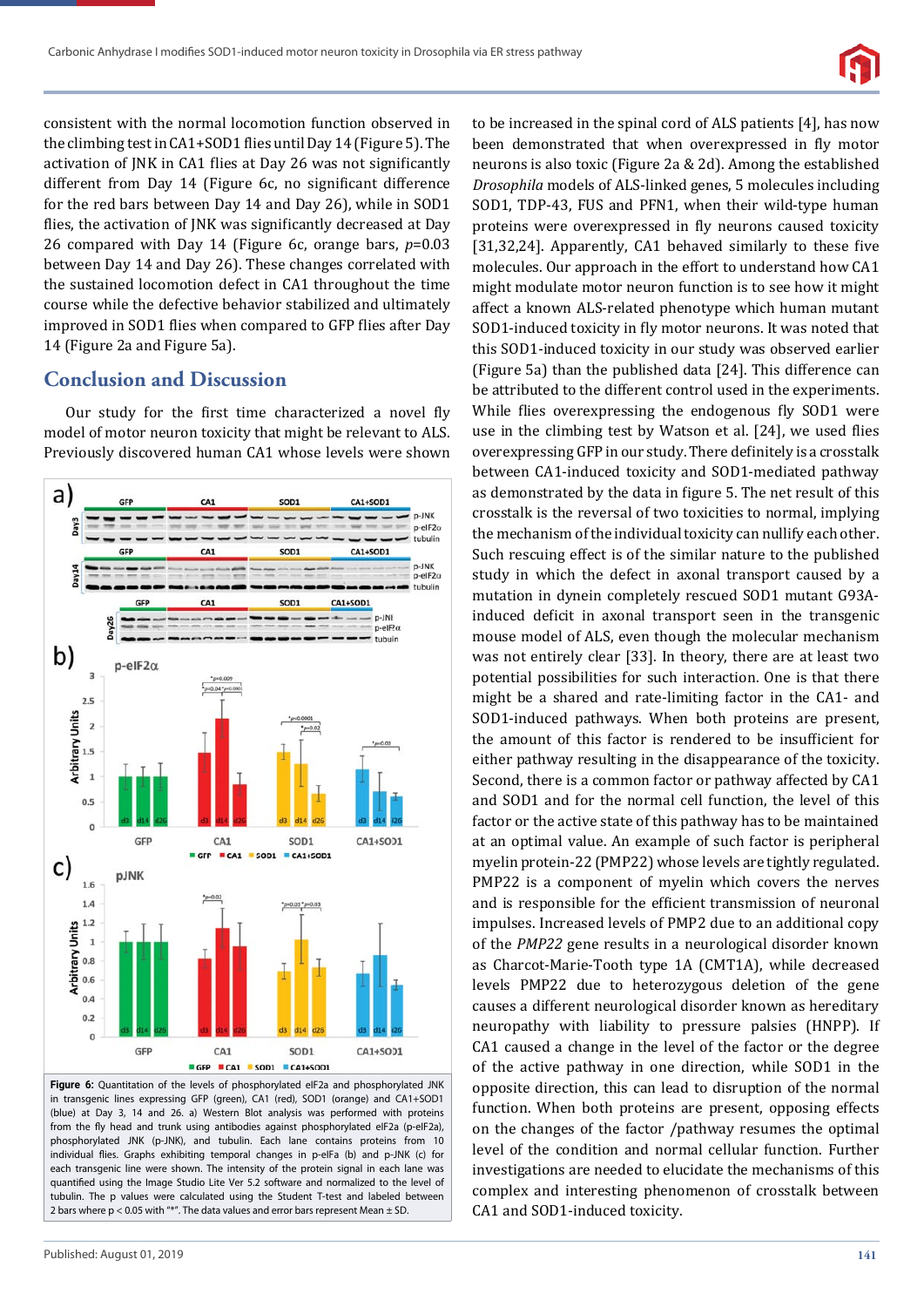

consistent with the normal locomotion function observed in the climbing test in CA1+SOD1 flies until Day 14 (Figure 5). The activation of JNK in CA1 flies at Day 26 was not significantly different from Day 14 (Figure 6c, no significant difference for the red bars between Day 14 and Day 26), while in SOD1 flies, the activation of JNK was significantly decreased at Day 26 compared with Day 14 (Figure 6c, orange bars, *p*=0.03 between Day 14 and Day 26). These changes correlated with the sustained locomotion defect in CA1 throughout the time course while the defective behavior stabilized and ultimately improved in SOD1 flies when compared to GFP flies after Day 14 (Figure 2a and Figure 5a).

# **Conclusion and Discussion**

Our study for the first time characterized a novel fly model of motor neuron toxicity that might be relevant to ALS. Previously discovered human CA1 whose levels were shown



**Figure 6:** Quantitation of the levels of phosphorylated eIF2a and phosphorylated JNK in transgenic lines expressing GFP (green), CA1 (red), SOD1 (orange) and CA1+SOD1 (blue) at Day 3, 14 and 26. a) Western Blot analysis was performed with proteins from the fly head and trunk using antibodies against phosphorylated eIF2a (p-eIF2a), phosphorylated JNK (p-JNK), and tubulin. Each lane contains proteins from 10 individual flies. Graphs exhibiting temporal changes in p-elFa (b) and p-JNK (c) for each transgenic line were shown. The intensity of the protein signal in each lane was quantified using the Image Studio Lite Ver 5.2 software and normalized to the level of tubulin. The p values were calculated using the Student T-test and labeled between 2 bars where  $p < 0.05$  with "\*". The data values and error bars represent Mean  $\pm$  SD.

been demonstrated that when overexpressed in fly motor neurons is also toxic (Figure 2a & 2d). Among the established *Drosophila* models of ALS-linked genes, 5 molecules including SOD1, TDP-43, FUS and PFN1, when their wild-type human proteins were overexpressed in fly neurons caused toxicity [31,32,24]. Apparently, CA1 behaved similarly to these five molecules. Our approach in the effort to understand how CA1 might modulate motor neuron function is to see how it might affect a known ALS-related phenotype which human mutant SOD1-induced toxicity in fly motor neurons. It was noted that this SOD1-induced toxicity in our study was observed earlier (Figure 5a) than the published data [24]. This difference can be attributed to the different control used in the experiments. While flies overexpressing the endogenous fly SOD1 were use in the climbing test by Watson et al. [24], we used flies overexpressing GFP in our study. There definitely is a crosstalk between CA1-induced toxicity and SOD1-mediated pathway as demonstrated by the data in figure 5. The net result of this crosstalk is the reversal of two toxicities to normal, implying the mechanism of the individual toxicity can nullify each other. Such rescuing effect is of the similar nature to the published study in which the defect in axonal transport caused by a mutation in dynein completely rescued SOD1 mutant G93Ainduced deficit in axonal transport seen in the transgenic mouse model of ALS, even though the molecular mechanism was not entirely clear [33]. In theory, there are at least two potential possibilities for such interaction. One is that there might be a shared and rate-limiting factor in the CA1- and SOD1-induced pathways. When both proteins are present, the amount of this factor is rendered to be insufficient for either pathway resulting in the disappearance of the toxicity. Second, there is a common factor or pathway affected by CA1 and SOD1 and for the normal cell function, the level of this factor or the active state of this pathway has to be maintained at an optimal value. An example of such factor is peripheral myelin protein-22 (PMP22) whose levels are tightly regulated. PMP22 is a component of myelin which covers the nerves and is responsible for the efficient transmission of neuronal impulses. Increased levels of PMP2 due to an additional copy of the *PMP22* gene results in a neurological disorder known as Charcot-Marie-Tooth type 1A (CMT1A), while decreased levels PMP22 due to heterozygous deletion of the gene causes a different neurological disorder known as hereditary neuropathy with liability to pressure palsies (HNPP). If CA1 caused a change in the level of the factor or the degree of the active pathway in one direction, while SOD1 in the opposite direction, this can lead to disruption of the normal function. When both proteins are present, opposing effects on the changes of the factor /pathway resumes the optimal level of the condition and normal cellular function. Further investigations are needed to elucidate the mechanisms of this complex and interesting phenomenon of crosstalk between CA1 and SOD1-induced toxicity.

to be increased in the spinal cord of ALS patients [4], has now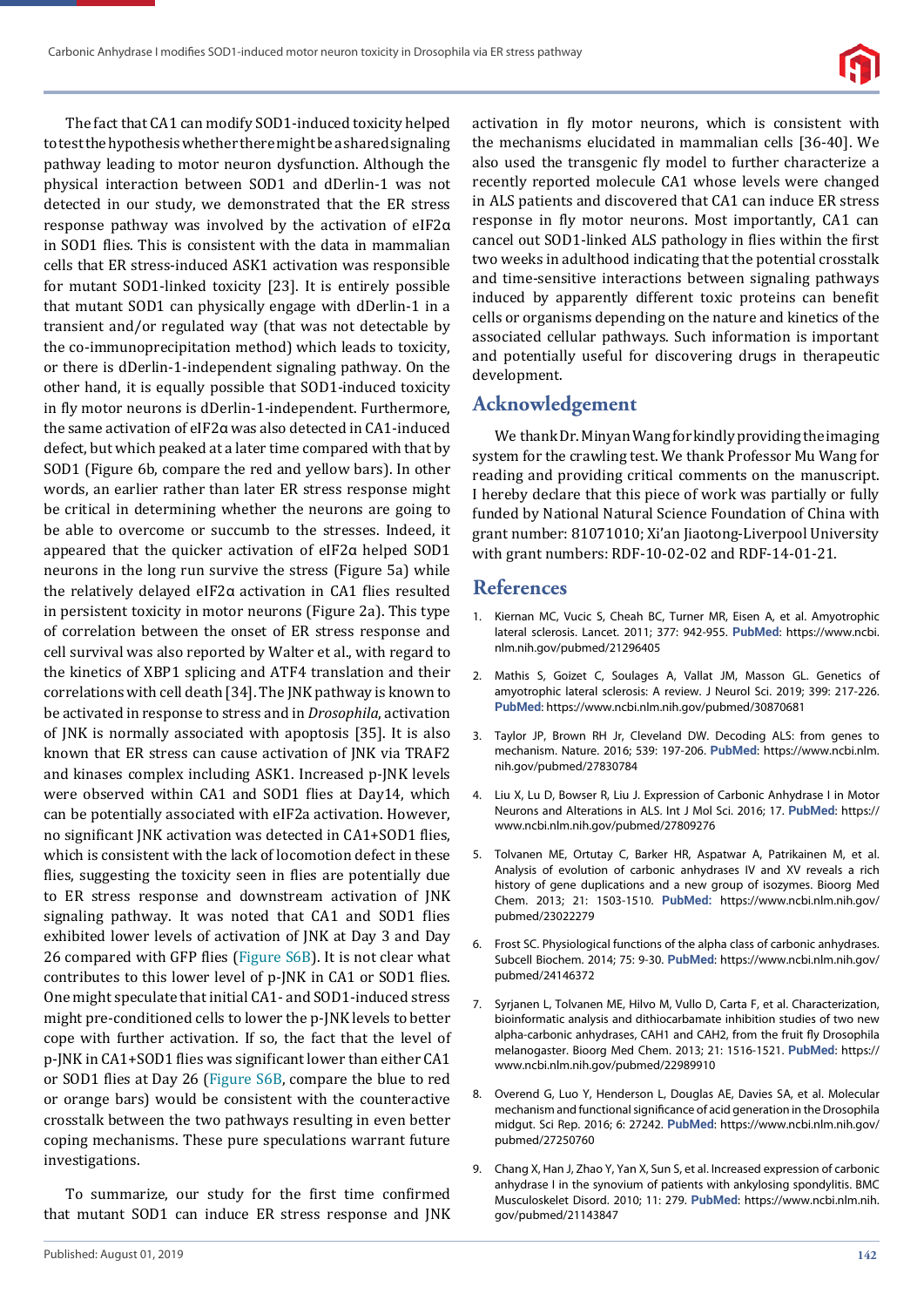

The fact that CA1 can modify SOD1-induced toxicity helped to test the hypothesis whether there might be a shared signaling pathway leading to motor neuron dysfunction. Although the physical interaction between SOD1 and dDerlin-1 was not detected in our study, we demonstrated that the ER stress response pathway was involved by the activation of eIF2α in SOD1 flies. This is consistent with the data in mammalian cells that ER stress-induced ASK1 activation was responsible for mutant SOD1-linked toxicity [23]. It is entirely possible that mutant SOD1 can physically engage with dDerlin-1 in a transient and/or regulated way (that was not detectable by the co-immunoprecipitation method) which leads to toxicity, or there is dDerlin-1-independent signaling pathway. On the other hand, it is equally possible that SOD1-induced toxicity in fly motor neurons is dDerlin-1-independent. Furthermore, the same activation of eIF2α was also detected in CA1-induced defect, but which peaked at a later time compared with that by SOD1 (Figure 6b, compare the red and yellow bars). In other words, an earlier rather than later ER stress response might be critical in determining whether the neurons are going to be able to overcome or succumb to the stresses. Indeed, it appeared that the quicker activation of eIF2α helped SOD1 neurons in the long run survive the stress (Figure 5a) while the relatively delayed eIF2α activation in CA1 flies resulted in persistent toxicity in motor neurons (Figure 2a). This type of correlation between the onset of ER stress response and cell survival was also reported by Walter et al., with regard to the kinetics of XBP1 splicing and ATF4 translation and their correlations with cell death [34]. The JNK pathway is known to be activated in response to stress and in *Drosophila*, activation of JNK is normally associated with apoptosis [35]. It is also known that ER stress can cause activation of JNK via TRAF2 and kinases complex including ASK1. Increased p-JNK levels were observed within CA1 and SOD1 flies at Day14, which can be potentially associated with eIF2a activation. However, no significant JNK activation was detected in CA1+SOD1 flies, which is consistent with the lack of locomotion defect in these flies, suggesting the toxicity seen in flies are potentially due to ER stress response and downstream activation of JNK signaling pathway. It was noted that CA1 and SOD1 flies exhibited lower levels of activation of JNK at Day 3 and Day 26 compared with GFP flies (Figure S6B). It is not clear what contributes to this lower level of p-JNK in CA1 or SOD1 flies. One might speculate that initial CA1- and SOD1-induced stress might pre-conditioned cells to lower the p-JNK levels to better cope with further activation. If so, the fact that the level of p-JNK in CA1+SOD1 flies was significant lower than either CA1 or SOD1 flies at Day 26 (Figure S6B, compare the blue to red or orange bars) would be consistent with the counteractive crosstalk between the two pathways resulting in even better coping mechanisms. These pure speculations warrant future investigations.

To summarize, our study for the first time confirmed that mutant SOD1 can induce ER stress response and JNK

activation in fly motor neurons, which is consistent with the mechanisms elucidated in mammalian cells [36-40]. We also used the transgenic fly model to further characterize a recently reported molecule CA1 whose levels were changed in ALS patients and discovered that CA1 can induce ER stress response in fly motor neurons. Most importantly, CA1 can cancel out SOD1-linked ALS pathology in flies within the first two weeks in adulthood indicating that the potential crosstalk and time-sensitive interactions between signaling pathways induced by apparently different toxic proteins can benefit cells or organisms depending on the nature and kinetics of the associated cellular pathways. Such information is important and potentially useful for discovering drugs in therapeutic development.

## **Acknowledgement**

We thank Dr. Minyan Wang for kindly providing the imaging system for the crawling test. We thank Professor Mu Wang for reading and providing critical comments on the manuscript. I hereby declare that this piece of work was partially or fully funded by National Natural Science Foundation of China with grant number: 81071010; Xi'an Jiaotong-Liverpool University with grant numbers: RDF-10-02-02 and RDF-14-01-21.

### **References**

- 1. Kiernan MC, Vucic S, Cheah BC, Turner MR, Eisen A, et al. Amyotrophic lateral sclerosis. Lancet. 2011; 377: 942-955. **PubMed**: https://www.ncbi. nlm.nih.gov/pubmed/21296405
- 2. Mathis S, Goizet C, Soulages A, Vallat JM, Masson GL. Genetics of amyotrophic lateral sclerosis: A review. J Neurol Sci. 2019; 399: 217-226. **PubMed**: https://www.ncbi.nlm.nih.gov/pubmed/30870681
- 3. Taylor JP, Brown RH Jr, Cleveland DW. Decoding ALS: from genes to mechanism. Nature. 2016; 539: 197-206. **PubMed**: https://www.ncbi.nlm. nih.gov/pubmed/27830784
- 4. Liu X, Lu D, Bowser R, Liu J. Expression of Carbonic Anhydrase I in Motor Neurons and Alterations in ALS. Int J Mol Sci. 2016; 17. **PubMed**: https:// www.ncbi.nlm.nih.gov/pubmed/27809276
- 5. Tolvanen ME, Ortutay C, Barker HR, Aspatwar A, Patrikainen M, et al. Analysis of evolution of carbonic anhydrases IV and XV reveals a rich history of gene duplications and a new group of isozymes. Bioorg Med Chem. 2013; 21: 1503-1510. **PubMed:** https://www.ncbi.nlm.nih.gov/ pubmed/23022279
- 6. Frost SC. Physiological functions of the alpha class of carbonic anhydrases. Subcell Biochem. 2014; 75: 9-30. **PubMed**: https://www.ncbi.nlm.nih.gov/ pubmed/24146372
- 7. Syrjanen L, Tolvanen ME, Hilvo M, Vullo D, Carta F, et al. Characterization, bioinformatic analysis and dithiocarbamate inhibition studies of two new alpha-carbonic anhydrases, CAH1 and CAH2, from the fruit fly Drosophila melanogaster. Bioorg Med Chem. 2013; 21: 1516-1521. **PubMed**: https:// www.ncbi.nlm.nih.gov/pubmed/22989910
- 8. Overend G, Luo Y, Henderson L, Douglas AE, Davies SA, et al. Molecular mechanism and functional significance of acid generation in the Drosophila midgut. Sci Rep. 2016; 6: 27242. **PubMed**: https://www.ncbi.nlm.nih.gov/ pubmed/27250760
- 9. Chang X, Han J, Zhao Y, Yan X, Sun S, et al. Increased expression of carbonic anhydrase I in the synovium of patients with ankylosing spondylitis. BMC Musculoskelet Disord. 2010; 11: 279. **PubMed**: https://www.ncbi.nlm.nih. gov/pubmed/21143847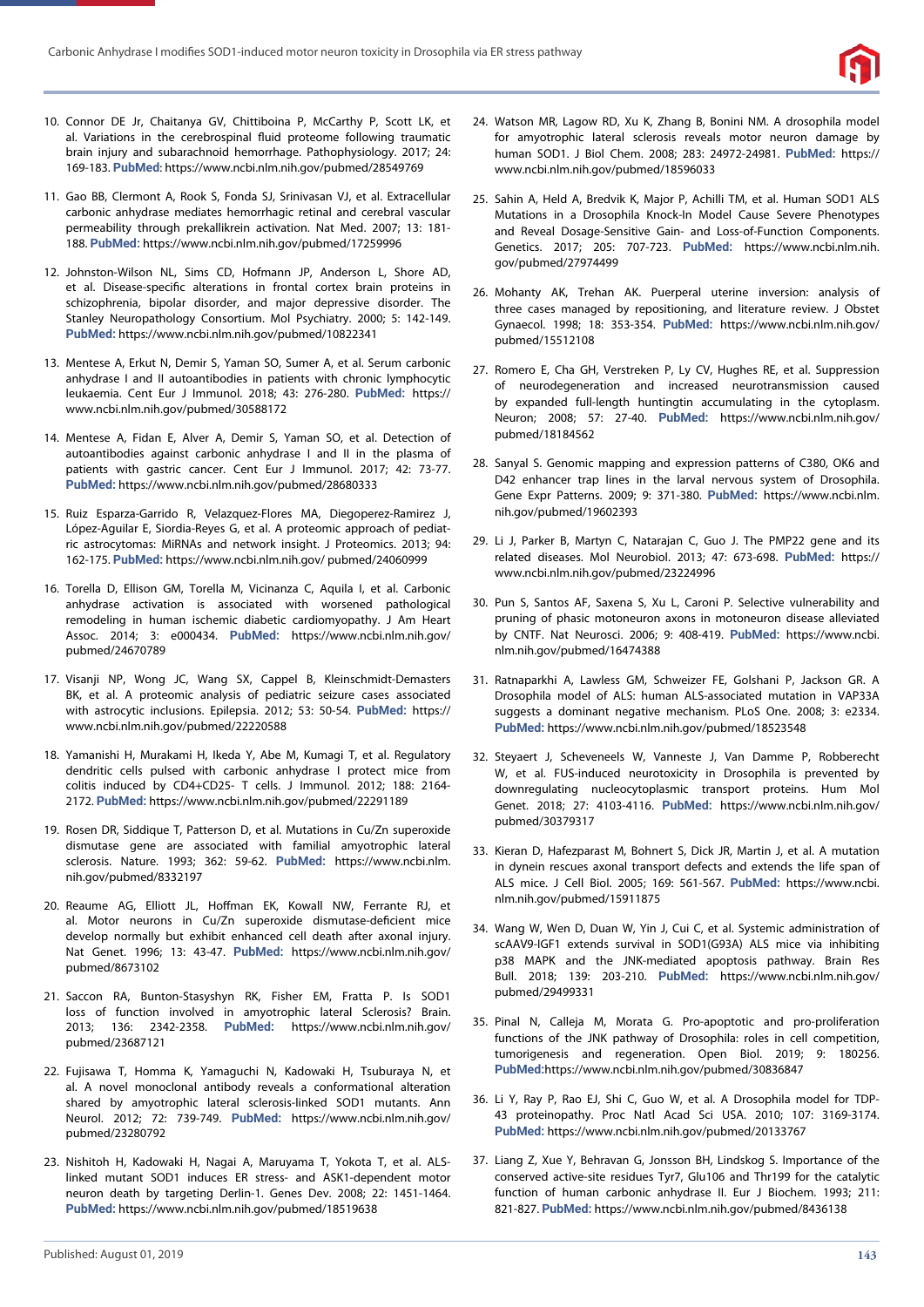

- 10. Connor DE Jr, Chaitanya GV, Chittiboina P, McCarthy P, Scott LK, et al. Variations in the cerebrospinal fluid proteome following traumatic brain injury and subarachnoid hemorrhage. Pathophysiology. 2017; 24: 169-183. **PubMed**: https://www.ncbi.nlm.nih.gov/pubmed/28549769
- 11. Gao BB, Clermont A, Rook S, Fonda SJ, Srinivasan VJ, et al. Extracellular carbonic anhydrase mediates hemorrhagic retinal and cerebral vascular permeability through prekallikrein activation. Nat Med. 2007; 13: 181- 188. **PubMed:** https://www.ncbi.nlm.nih.gov/pubmed/17259996
- 12. Johnston-Wilson NL, Sims CD, Hofmann JP, Anderson L, Shore AD, et al. Disease-specific alterations in frontal cortex brain proteins in schizophrenia, bipolar disorder, and major depressive disorder. The Stanley Neuropathology Consortium. Mol Psychiatry. 2000; 5: 142-149. **PubMed:** https://www.ncbi.nlm.nih.gov/pubmed/10822341
- 13. Mentese A, Erkut N, Demir S, Yaman SO, Sumer A, et al. Serum carbonic anhydrase I and II autoantibodies in patients with chronic lymphocytic leukaemia. Cent Eur J Immunol. 2018; 43: 276-280. **PubMed:** https:// www.ncbi.nlm.nih.gov/pubmed/30588172
- 14. Mentese A, Fidan E, Alver A, Demir S, Yaman SO, et al. Detection of autoantibodies against carbonic anhydrase I and II in the plasma of patients with gastric cancer. Cent Eur J Immunol. 2017; 42: 73-77. **PubMed:** https://www.ncbi.nlm.nih.gov/pubmed/28680333
- 15. Ruiz Esparza-Garrido R, Velazquez-Flores MA, Diegoperez-Ramirez J, López-Aguilar E, Siordia-Reyes G, et al. A proteomic approach of pediatric astrocytomas: MiRNAs and network insight. J Proteomics. 2013; 94: 162-175. **PubMed:** https://www.ncbi.nlm.nih.gov/ pubmed/24060999
- 16. Torella D, Ellison GM, Torella M, Vicinanza C, Aquila I, et al. Carbonic anhydrase activation is associated with worsened pathological remodeling in human ischemic diabetic cardiomyopathy. J Am Heart Assoc. 2014; 3: e000434. **PubMed:** https://www.ncbi.nlm.nih.gov/ pubmed/24670789
- 17. Visanji NP, Wong JC, Wang SX, Cappel B, Kleinschmidt-Demasters BK, et al. A proteomic analysis of pediatric seizure cases associated with astrocytic inclusions. Epilepsia. 2012; 53: 50-54. **PubMed:** https:// www.ncbi.nlm.nih.gov/pubmed/22220588
- 18. Yamanishi H, Murakami H, Ikeda Y, Abe M, Kumagi T, et al. Regulatory dendritic cells pulsed with carbonic anhydrase I protect mice from colitis induced by CD4+CD25- T cells. J Immunol. 2012; 188: 2164- 2172. **PubMed:** https://www.ncbi.nlm.nih.gov/pubmed/22291189
- 19. Rosen DR, Siddique T, Patterson D, et al. Mutations in Cu/Zn superoxide dismutase gene are associated with familial amyotrophic lateral sclerosis. Nature. 1993; 362: 59-62. **PubMed:** https://www.ncbi.nlm. nih.gov/pubmed/8332197
- 20. Reaume AG, Elliott JL, Hoffman EK, Kowall NW, Ferrante RJ, et al. Motor neurons in Cu/Zn superoxide dismutase-deficient mice develop normally but exhibit enhanced cell death after axonal injury. Nat Genet. 1996; 13: 43-47. **PubMed:** https://www.ncbi.nlm.nih.gov/ pubmed/8673102
- 21. Saccon RA, Bunton-Stasyshyn RK, Fisher EM, Fratta P. Is SOD1 loss of function involved in amyotrophic lateral Sclerosis? Brain. 2013; 136: 2342-2358. **PubMed:** https://www.ncbi.nlm.nih.gov/ pubmed/23687121
- 22. Fujisawa T, Homma K, Yamaguchi N, Kadowaki H, Tsuburaya N, et al. A novel monoclonal antibody reveals a conformational alteration shared by amyotrophic lateral sclerosis-linked SOD1 mutants. Ann Neurol. 2012; 72: 739-749. **PubMed:** https://www.ncbi.nlm.nih.gov/ pubmed/23280792
- 23. Nishitoh H, Kadowaki H, Nagai A, Maruyama T, Yokota T, et al. ALSlinked mutant SOD1 induces ER stress- and ASK1-dependent motor neuron death by targeting Derlin-1. Genes Dev. 2008; 22: 1451-1464. **PubMed:** https://www.ncbi.nlm.nih.gov/pubmed/18519638
- 24. Watson MR, Lagow RD, Xu K, Zhang B, Bonini NM. A drosophila model for amyotrophic lateral sclerosis reveals motor neuron damage by human SOD1. J Biol Chem. 2008; 283: 24972-24981. **PubMed:** https:// www.ncbi.nlm.nih.gov/pubmed/18596033
- 25. Sahin A, Held A, Bredvik K, Major P, Achilli TM, et al. Human SOD1 ALS Mutations in a Drosophila Knock-In Model Cause Severe Phenotypes and Reveal Dosage-Sensitive Gain- and Loss-of-Function Components. Genetics. 2017; 205: 707-723. **PubMed:** https://www.ncbi.nlm.nih. gov/pubmed/27974499
- 26. Mohanty AK, Trehan AK. Puerperal uterine inversion: analysis of three cases managed by repositioning, and literature review. J Obstet Gynaecol. 1998; 18: 353-354. **PubMed:** https://www.ncbi.nlm.nih.gov/ pubmed/15512108
- 27. Romero E, Cha GH, Verstreken P, Ly CV, Hughes RE, et al. Suppression of neurodegeneration and increased neurotransmission caused by expanded full-length huntingtin accumulating in the cytoplasm. Neuron; 2008; 57: 27-40. **PubMed:** https://www.ncbi.nlm.nih.gov/ pubmed/18184562
- 28. Sanyal S. Genomic mapping and expression patterns of C380, OK6 and D42 enhancer trap lines in the larval nervous system of Drosophila. Gene Expr Patterns. 2009; 9: 371-380. **PubMed:** https://www.ncbi.nlm. nih.gov/pubmed/19602393
- 29. Li J, Parker B, Martyn C, Natarajan C, Guo J. The PMP22 gene and its related diseases. Mol Neurobiol. 2013; 47: 673-698. **PubMed:** https:// www.ncbi.nlm.nih.gov/pubmed/23224996
- 30. Pun S, Santos AF, Saxena S, Xu L, Caroni P. Selective vulnerability and pruning of phasic motoneuron axons in motoneuron disease alleviated by CNTF. Nat Neurosci. 2006; 9: 408-419. **PubMed:** https://www.ncbi. nlm.nih.gov/pubmed/16474388
- 31. Ratnaparkhi A, Lawless GM, Schweizer FE, Golshani P, Jackson GR. A Drosophila model of ALS: human ALS-associated mutation in VAP33A suggests a dominant negative mechanism. PLoS One. 2008; 3: e2334. **PubMed:** https://www.ncbi.nlm.nih.gov/pubmed/18523548
- 32. Steyaert J, Scheveneels W, Vanneste J, Van Damme P, Robberecht W, et al. FUS-induced neurotoxicity in Drosophila is prevented by downregulating nucleocytoplasmic transport proteins. Hum Mol Genet. 2018; 27: 4103-4116. **PubMed:** https://www.ncbi.nlm.nih.gov/ pubmed/30379317
- 33. Kieran D, Hafezparast M, Bohnert S, Dick JR, Martin J, et al. A mutation in dynein rescues axonal transport defects and extends the life span of ALS mice. J Cell Biol. 2005; 169: 561-567. **PubMed:** https://www.ncbi. nlm.nih.gov/pubmed/15911875
- 34. Wang W, Wen D, Duan W, Yin J, Cui C, et al. Systemic administration of scAAV9-IGF1 extends survival in SOD1(G93A) ALS mice via inhibiting p38 MAPK and the JNK-mediated apoptosis pathway. Brain Res Bull. 2018; 139: 203-210. **PubMed:** https://www.ncbi.nlm.nih.gov/ pubmed/29499331
- 35. Pinal N, Calleja M, Morata G. Pro-apoptotic and pro-proliferation functions of the JNK pathway of Drosophila: roles in cell competition, tumorigenesis and regeneration. Open Biol. 2019; 9: 180256. **PubMed:**https://www.ncbi.nlm.nih.gov/pubmed/30836847
- 36. Li Y, Ray P, Rao EJ, Shi C, Guo W, et al. A Drosophila model for TDP-43 proteinopathy. Proc Natl Acad Sci USA. 2010; 107: 3169-3174. **PubMed:** https://www.ncbi.nlm.nih.gov/pubmed/20133767
- 37. Liang Z, Xue Y, Behravan G, Jonsson BH, Lindskog S. Importance of the conserved active-site residues Tyr7, Glu106 and Thr199 for the catalytic function of human carbonic anhydrase II. Eur J Biochem. 1993; 211: 821-827. **PubMed:** https://www.ncbi.nlm.nih.gov/pubmed/8436138